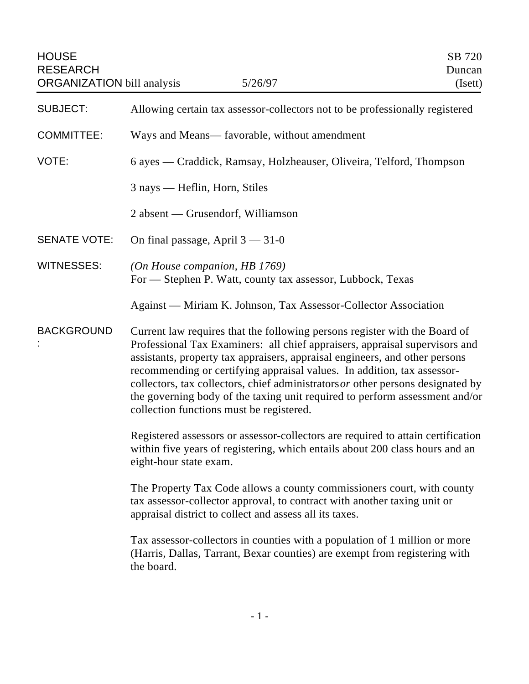| <b>HOUSE</b><br><b>RESEARCH</b><br><b>ORGANIZATION</b> bill analysis | 5/26/97                                                                                                                                                                                                                                                                                                                                                                                                                                                                                                                             | SB 720<br>Duncan<br>(Isett) |
|----------------------------------------------------------------------|-------------------------------------------------------------------------------------------------------------------------------------------------------------------------------------------------------------------------------------------------------------------------------------------------------------------------------------------------------------------------------------------------------------------------------------------------------------------------------------------------------------------------------------|-----------------------------|
| <b>SUBJECT:</b>                                                      | Allowing certain tax assessor-collectors not to be professionally registered                                                                                                                                                                                                                                                                                                                                                                                                                                                        |                             |
| <b>COMMITTEE:</b>                                                    | Ways and Means— favorable, without amendment                                                                                                                                                                                                                                                                                                                                                                                                                                                                                        |                             |
| VOTE:                                                                | 6 ayes — Craddick, Ramsay, Holzheauser, Oliveira, Telford, Thompson                                                                                                                                                                                                                                                                                                                                                                                                                                                                 |                             |
|                                                                      | 3 nays — Heflin, Horn, Stiles                                                                                                                                                                                                                                                                                                                                                                                                                                                                                                       |                             |
|                                                                      | 2 absent — Grusendorf, Williamson                                                                                                                                                                                                                                                                                                                                                                                                                                                                                                   |                             |
| <b>SENATE VOTE:</b>                                                  | On final passage, April $3 - 31 - 0$                                                                                                                                                                                                                                                                                                                                                                                                                                                                                                |                             |
| <b>WITNESSES:</b>                                                    | (On House companion, HB 1769)<br>For - Stephen P. Watt, county tax assessor, Lubbock, Texas                                                                                                                                                                                                                                                                                                                                                                                                                                         |                             |
|                                                                      | Against — Miriam K. Johnson, Tax Assessor-Collector Association                                                                                                                                                                                                                                                                                                                                                                                                                                                                     |                             |
| <b>BACKGROUND</b>                                                    | Current law requires that the following persons register with the Board of<br>Professional Tax Examiners: all chief appraisers, appraisal supervisors and<br>assistants, property tax appraisers, appraisal engineers, and other persons<br>recommending or certifying appraisal values. In addition, tax assessor-<br>collectors, tax collectors, chief administrators $or$ other persons designated by<br>the governing body of the taxing unit required to perform assessment and/or<br>collection functions must be registered. |                             |
|                                                                      | Registered assessors or assessor-collectors are required to attain certification<br>within five years of registering, which entails about 200 class hours and an<br>eight-hour state exam.                                                                                                                                                                                                                                                                                                                                          |                             |
|                                                                      | The Property Tax Code allows a county commissioners court, with county<br>tax assessor-collector approval, to contract with another taxing unit or<br>appraisal district to collect and assess all its taxes.                                                                                                                                                                                                                                                                                                                       |                             |
|                                                                      | Tax assessor-collectors in counties with a population of 1 million or more<br>(Harris, Dallas, Tarrant, Bexar counties) are exempt from registering with<br>the board.                                                                                                                                                                                                                                                                                                                                                              |                             |